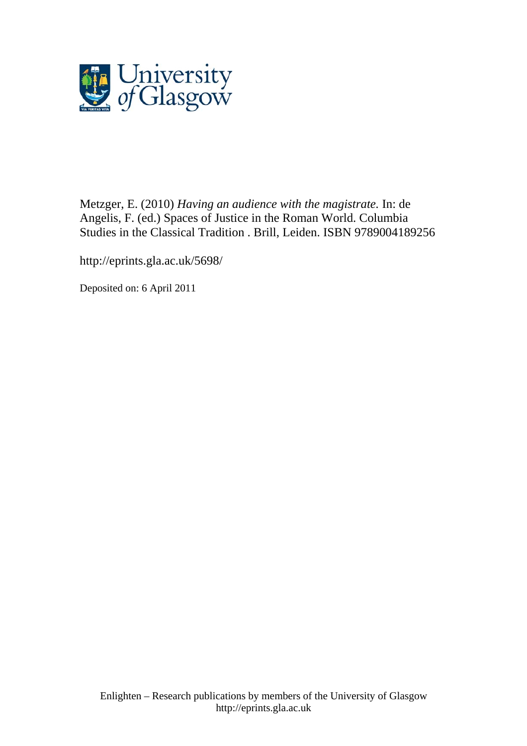

[Metzger, E.](http://eprints.gla.ac.uk/view/author/4869.html) (2010) *Having an audience with the magistrate.* In: de Angelis, F. (ed.) Spaces of Justice in the Roman World. Columbia Studies in the Classical Tradition . Brill, Leiden. ISBN 9789004189256

http://eprints.gla.ac.uk[/5698/](http://eprints.gla.ac.uk/5698/)

Deposited on: 6 April 2011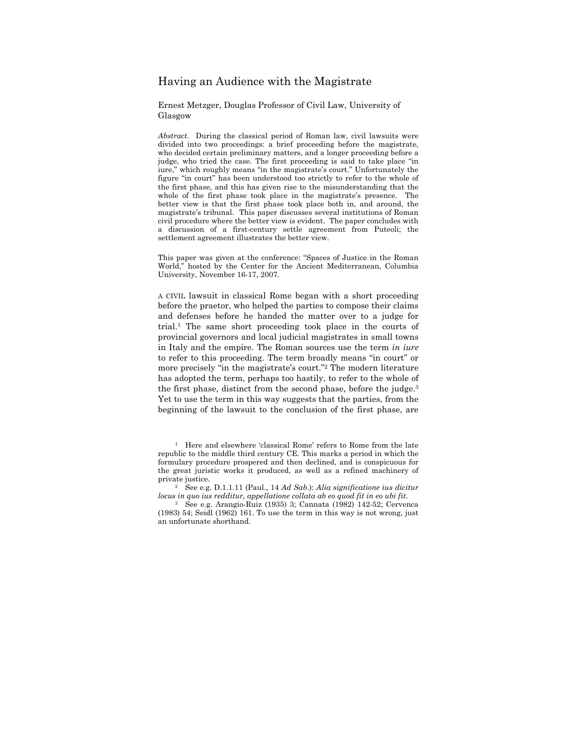# Having an Audience with the Magistrate

Ernest Metzger, Douglas Professor of Civil Law, University of Glasgow

*Abstract*. During the classical period of Roman law, civil lawsuits were divided into two proceedings: a brief proceeding before the magistrate, who decided certain preliminary matters, and a longer proceeding before a judge, who tried the case. The first proceeding is said to take place "in iure," which roughly means "in the magistrate's court." Unfortunately the figure "in court" has been understood too strictly to refer to the whole of the first phase, and this has given rise to the misunderstanding that the whole of the first phase took place in the magistrate's presence. The better view is that the first phase took place both in, and around, the magistrate's tribunal. This paper discusses several institutions of Roman civil procedure where the better view is evident. The paper concludes with a discussion of a first-century settle agreement from Puteoli; the settlement agreement illustrates the better view.

This paper was given at the conference: "Spaces of Justice in the Roman World," hosted by the Center for the Ancient Mediterranean, Columbia University, November 16-17, 2007.

A CIVIL lawsuit in classical Rome began with a short proceeding before the praetor, who helped the parties to compose their claims and defenses before he handed the matter over to a judge for trial.1 The same short proceeding took place in the courts of provincial governors and local judicial magistrates in small towns in Italy and the empire. The Roman sources use the term *in iure* to refer to this proceeding. The term broadly means "in court" or more precisely "in the magistrate's court."2 The modern literature has adopted the term, perhaps too hastily, to refer to the whole of the first phase, distinct from the second phase, before the judge.<sup>3</sup> Yet to use the term in this way suggests that the parties, from the beginning of the lawsuit to the conclusion of the first phase, are

1 Here and elsewhere 'classical Rome' refers to Rome from the late republic to the middle third century CE. This marks a period in which the formulary procedure prospered and then declined, and is conspicuous for the great juristic works it produced, as well as a refined machinery of private justice. 2 See e.g. D.1.1.11 (Paul., 14 *Ad Sab*.): *Alia significatione ius dicitur* 

*locus in quo ius redditur, appellatione collata ab eo quod fit in eo ubi fit*. 3 See e.g. Arangio-Ruiz (1935) 3; Cannata (1982) 142-52; Cervenca

(1983) 54; Seidl (1962) 161. To use the term in this way is not wrong, just an unfortunate shorthand.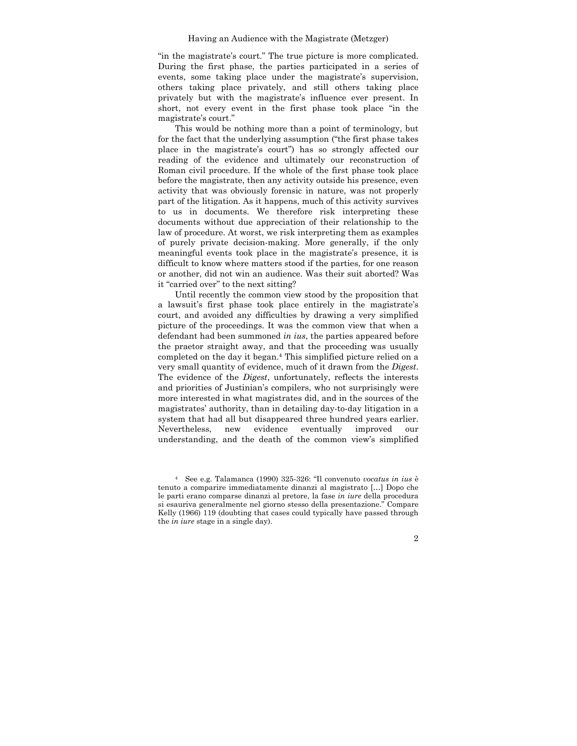"in the magistrate's court." The true picture is more complicated. During the first phase, the parties participated in a series of events, some taking place under the magistrate's supervision, others taking place privately, and still others taking place privately but with the magistrate's influence ever present. In short, not every event in the first phase took place "in the magistrate's court."

This would be nothing more than a point of terminology, but for the fact that the underlying assumption ("the first phase takes place in the magistrate's court") has so strongly affected our reading of the evidence and ultimately our reconstruction of Roman civil procedure. If the whole of the first phase took place before the magistrate, then any activity outside his presence, even activity that was obviously forensic in nature, was not properly part of the litigation. As it happens, much of this activity survives to us in documents. We therefore risk interpreting these documents without due appreciation of their relationship to the law of procedure. At worst, we risk interpreting them as examples of purely private decision-making. More generally, if the only meaningful events took place in the magistrate's presence, it is difficult to know where matters stood if the parties, for one reason or another, did not win an audience. Was their suit aborted? Was it "carried over" to the next sitting?

Until recently the common view stood by the proposition that a lawsuit's first phase took place entirely in the magistrate's court, and avoided any difficulties by drawing a very simplified picture of the proceedings. It was the common view that when a defendant had been summoned *in ius*, the parties appeared before the praetor straight away, and that the proceeding was usually completed on the day it began.4 This simplified picture relied on a very small quantity of evidence, much of it drawn from the *Digest*. The evidence of the *Digest*, unfortunately, reflects the interests and priorities of Justinian's compilers, who not surprisingly were more interested in what magistrates did, and in the sources of the magistrates' authority, than in detailing day-to-day litigation in a system that had all but disappeared three hundred years earlier. Nevertheless, new evidence eventually improved our understanding, and the death of the common view's simplified

4 See e.g. Talamanca (1990) 325-326: "Il convenuto *vocatus in ius* è tenuto a comparire immediatamente dinanzi al magistrato […] Dopo che le parti erano comparse dinanzi al pretore, la fase *in iure* della procedura si esauriva generalmente nel giorno stesso della presentazione." Compare Kelly (1966) 119 (doubting that cases could typically have passed through the *in iure* stage in a single day).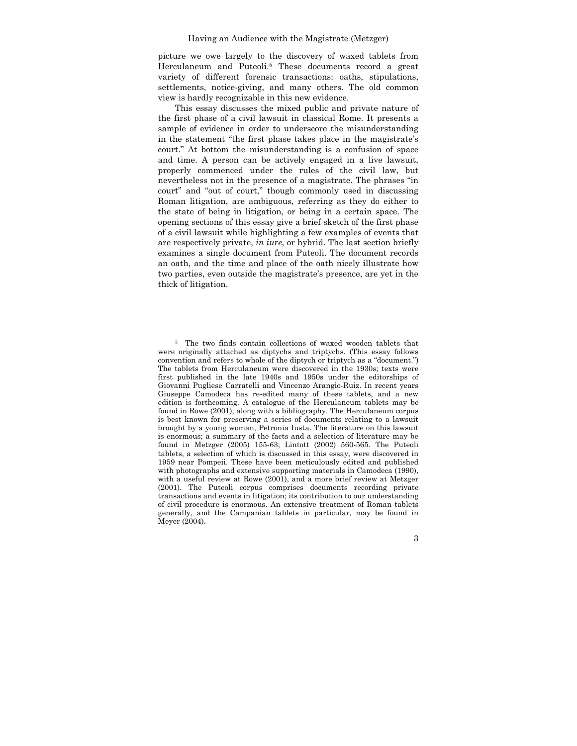picture we owe largely to the discovery of waxed tablets from Herculaneum and Puteoli.5 These documents record a great variety of different forensic transactions: oaths, stipulations, settlements, notice-giving, and many others. The old common view is hardly recognizable in this new evidence.

This essay discusses the mixed public and private nature of the first phase of a civil lawsuit in classical Rome. It presents a sample of evidence in order to underscore the misunderstanding in the statement "the first phase takes place in the magistrate's court." At bottom the misunderstanding is a confusion of space and time. A person can be actively engaged in a live lawsuit, properly commenced under the rules of the civil law, but nevertheless not in the presence of a magistrate. The phrases "in court" and "out of court," though commonly used in discussing Roman litigation, are ambiguous, referring as they do either to the state of being in litigation, or being in a certain space. The opening sections of this essay give a brief sketch of the first phase of a civil lawsuit while highlighting a few examples of events that are respectively private, *in iure*, or hybrid. The last section briefly examines a single document from Puteoli. The document records an oath, and the time and place of the oath nicely illustrate how two parties, even outside the magistrate's presence, are yet in the thick of litigation.

<sup>5</sup> The two finds contain collections of waxed wooden tablets that were originally attached as diptychs and triptychs. (This essay follows convention and refers to whole of the diptych or triptych as a "document.") The tablets from Herculaneum were discovered in the 1930s; texts were first published in the late 1940s and 1950s under the editorships of Giovanni Pugliese Carratelli and Vincenzo Arangio-Ruiz. In recent years Giuseppe Camodeca has re-edited many of these tablets, and a new edition is forthcoming. A catalogue of the Herculaneum tablets may be found in Rowe (2001), along with a bibliography. The Herculaneum corpus is best known for preserving a series of documents relating to a lawsuit brought by a young woman, Petronia Iusta. The literature on this lawsuit is enormous; a summary of the facts and a selection of literature may be found in Metzger (2005) 155-63; Lintott (2002) 560-565. The Puteoli tablets, a selection of which is discussed in this essay, were discovered in 1959 near Pompeii. These have been meticulously edited and published with photographs and extensive supporting materials in Camodeca (1990), with a useful review at Rowe (2001), and a more brief review at Metzger (2001). The Puteoli corpus comprises documents recording private transactions and events in litigation; its contribution to our understanding of civil procedure is enormous. An extensive treatment of Roman tablets generally, and the Campanian tablets in particular, may be found in Meyer (2004).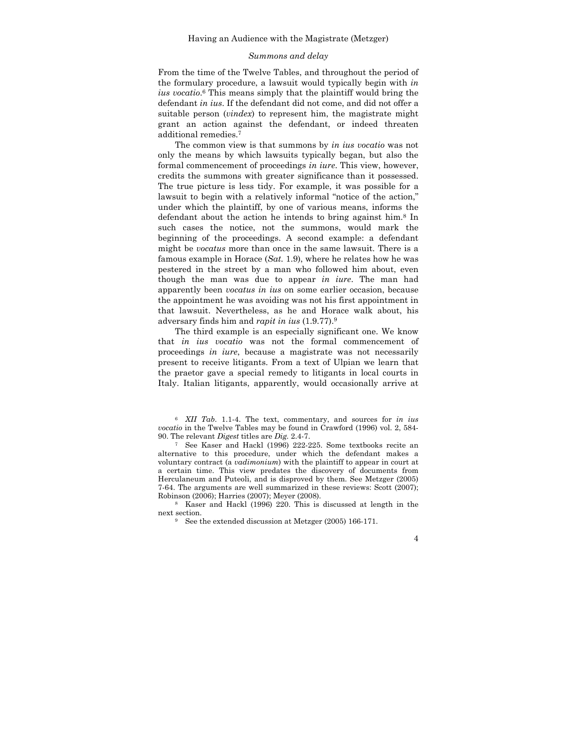### *Summons and delay*

From the time of the Twelve Tables, and throughout the period of the formulary procedure, a lawsuit would typically begin with *in ius vocatio*. 6 This means simply that the plaintiff would bring the defendant *in ius*. If the defendant did not come, and did not offer a suitable person (*vindex*) to represent him, the magistrate might grant an action against the defendant, or indeed threaten additional remedies.7

The common view is that summons by *in ius vocatio* was not only the means by which lawsuits typically began, but also the formal commencement of proceedings *in iure*. This view, however, credits the summons with greater significance than it possessed. The true picture is less tidy. For example, it was possible for a lawsuit to begin with a relatively informal "notice of the action," under which the plaintiff, by one of various means, informs the defendant about the action he intends to bring against him.8 In such cases the notice, not the summons, would mark the beginning of the proceedings. A second example: a defendant might be *vocatus* more than once in the same lawsuit. There is a famous example in Horace (*Sat.* 1.9), where he relates how he was pestered in the street by a man who followed him about, even though the man was due to appear *in iure*. The man had apparently been *vocatus in ius* on some earlier occasion, because the appointment he was avoiding was not his first appointment in that lawsuit. Nevertheless, as he and Horace walk about, his adversary finds him and *rapit in ius* (1.9.77).9

The third example is an especially significant one. We know that *in ius vocatio* was not the formal commencement of proceedings *in iure*, because a magistrate was not necessarily present to receive litigants. From a text of Ulpian we learn that the praetor gave a special remedy to litigants in local courts in Italy. Italian litigants, apparently, would occasionally arrive at

<sup>6</sup> *XII Tab*. 1.1-4. The text, commentary, and sources for *in ius vocatio* in the Twelve Tables may be found in Crawford (1996) vol. 2, 584- 90. The relevant *Digest* titles are *Dig.* 2.4-7. 7 See Kaser and Hackl (1996) 222-225. Some textbooks recite an

alternative to this procedure, under which the defendant makes a voluntary contract (a *vadimonium*) with the plaintiff to appear in court at a certain time. This view predates the discovery of documents from Herculaneum and Puteoli, and is disproved by them. See Metzger (2005) 7-64. The arguments are well summarized in these reviews: Scott (2007); Robinson (2006); Harries (2007); Meyer (2008). 8 Kaser and Hackl (1996) 220. This is discussed at length in the

next section.<br><sup>9</sup> See the extended discussion at Metzger (2005) 166-171.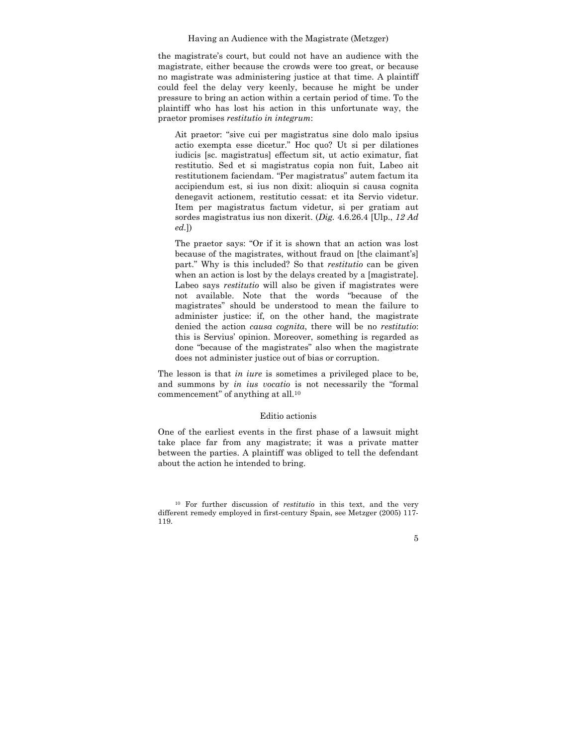the magistrate's court, but could not have an audience with the magistrate, either because the crowds were too great, or because no magistrate was administering justice at that time. A plaintiff could feel the delay very keenly, because he might be under pressure to bring an action within a certain period of time. To the plaintiff who has lost his action in this unfortunate way, the praetor promises *restitutio in integrum*:

Ait praetor: "sive cui per magistratus sine dolo malo ipsius actio exempta esse dicetur." Hoc quo? Ut si per dilationes iudicis [sc. magistratus] effectum sit, ut actio eximatur, fiat restitutio. Sed et si magistratus copia non fuit, Labeo ait restitutionem faciendam. "Per magistratus" autem factum ita accipiendum est, si ius non dixit: alioquin si causa cognita denegavit actionem, restitutio cessat: et ita Servio videtur. Item per magistratus factum videtur, si per gratiam aut sordes magistratus ius non dixerit. (*Dig.* 4.6.26.4 [Ulp., *12 Ad ed.*])

The praetor says: "Or if it is shown that an action was lost because of the magistrates, without fraud on [the claimant's] part." Why is this included? So that *restitutio* can be given when an action is lost by the delays created by a [magistrate]. Labeo says *restitutio* will also be given if magistrates were not available. Note that the words "because of the magistrates" should be understood to mean the failure to administer justice: if, on the other hand, the magistrate denied the action *causa cognita*, there will be no *restitutio*: this is Servius' opinion. Moreover, something is regarded as done "because of the magistrates" also when the magistrate does not administer justice out of bias or corruption.

The lesson is that *in iure* is sometimes a privileged place to be, and summons by *in ius vocatio* is not necessarily the "formal commencement" of anything at all.10

# Editio actionis

One of the earliest events in the first phase of a lawsuit might take place far from any magistrate; it was a private matter between the parties. A plaintiff was obliged to tell the defendant about the action he intended to bring.

<sup>10</sup> For further discussion of *restitutio* in this text, and the very different remedy employed in first-century Spain, see Metzger (2005) 117- 119.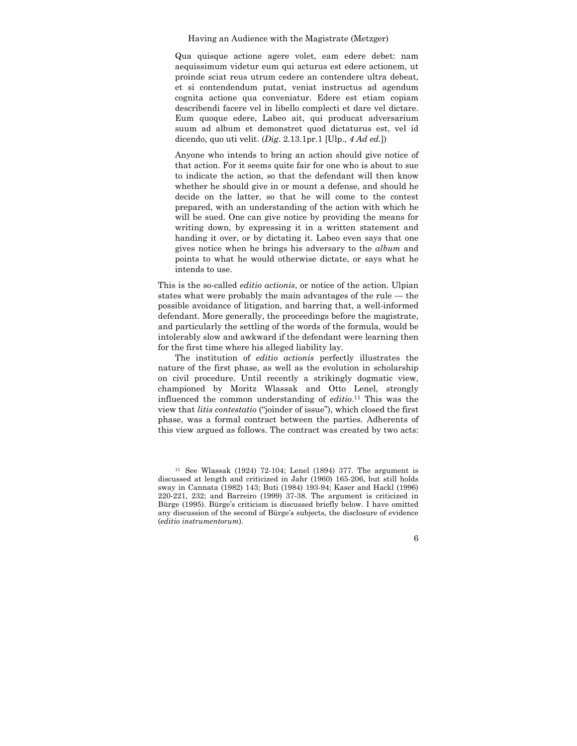Qua quisque actione agere volet, eam edere debet: nam aequissimum videtur eum qui acturus est edere actionem, ut proinde sciat reus utrum cedere an contendere ultra debeat, et si contendendum putat, veniat instructus ad agendum cognita actione qua conveniatur. Edere est etiam copiam describendi facere vel in libello complecti et dare vel dictare. Eum quoque edere, Labeo ait, qui producat adversarium suum ad album et demonstret quod dictaturus est, vel id dicendo, quo uti velit. (*Dig*. 2.13.1pr.1 [Ulp., *4 Ad ed.*])

Anyone who intends to bring an action should give notice of that action. For it seems quite fair for one who is about to sue to indicate the action, so that the defendant will then know whether he should give in or mount a defense, and should he decide on the latter, so that he will come to the contest prepared, with an understanding of the action with which he will be sued. One can give notice by providing the means for writing down, by expressing it in a written statement and handing it over, or by dictating it. Labeo even says that one gives notice when he brings his adversary to the *album* and points to what he would otherwise dictate, or says what he intends to use.

This is the so-called *editio actionis*, or notice of the action. Ulpian states what were probably the main advantages of the rule — the possible avoidance of litigation, and barring that, a well-informed defendant. More generally, the proceedings before the magistrate, and particularly the settling of the words of the formula, would be intolerably slow and awkward if the defendant were learning then for the first time where his alleged liability lay.

The institution of *editio actionis* perfectly illustrates the nature of the first phase, as well as the evolution in scholarship on civil procedure. Until recently a strikingly dogmatic view, championed by Moritz Wlassak and Otto Lenel, strongly influenced the common understanding of *editio*. 11 This was the view that *litis contestatio* ("joinder of issue"), which closed the first phase, was a formal contract between the parties. Adherents of this view argued as follows. The contract was created by two acts:

<sup>11</sup> See Wlassak (1924) 72-104; Lenel (1894) 377. The argument is discussed at length and criticized in Jahr (1960) 165-206, but still holds sway in Cannata (1982) 143; Buti (1984) 193-94; Kaser and Hackl (1996) 220-221, 232; and Barreiro (1999) 37-38. The argument is criticized in Bürge (1995). Bürge's criticism is discussed briefly below. I have omitted any discussion of the second of Bürge's subjects, the disclosure of evidence (*editio instrumentorum*).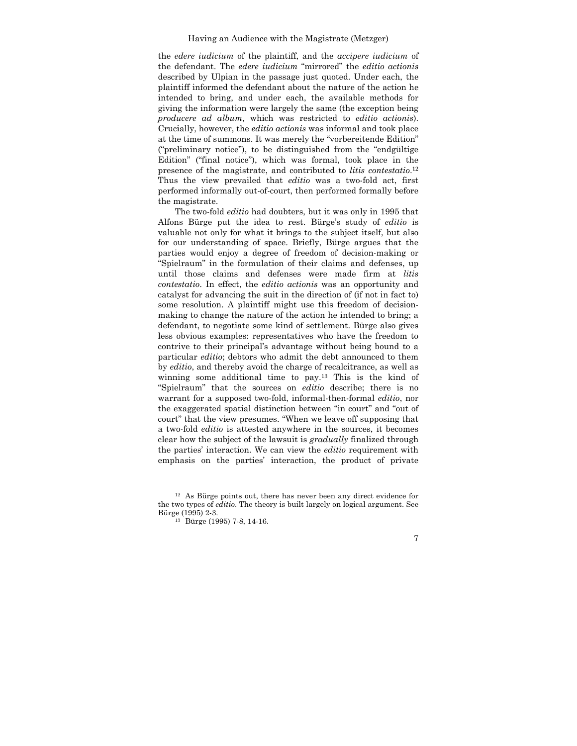the *edere iudicium* of the plaintiff, and the *accipere iudicium* of the defendant. The *edere iudicium* "mirrored" the *editio actionis*  described by Ulpian in the passage just quoted. Under each, the plaintiff informed the defendant about the nature of the action he intended to bring, and under each, the available methods for giving the information were largely the same (the exception being *producere ad album*, which was restricted to *editio actionis*). Crucially, however, the *editio actionis* was informal and took place at the time of summons. It was merely the "vorbereitende Edition" ("preliminary notice"), to be distinguished from the "endgültige Edition" ("final notice"), which was formal, took place in the presence of the magistrate, and contributed to *litis contestatio*. 12 Thus the view prevailed that *editio* was a two-fold act, first performed informally out-of-court, then performed formally before the magistrate.

The two-fold *editio* had doubters, but it was only in 1995 that Alfons Bürge put the idea to rest. Bürge's study of *editio* is valuable not only for what it brings to the subject itself, but also for our understanding of space. Briefly, Bürge argues that the parties would enjoy a degree of freedom of decision-making or "Spielraum" in the formulation of their claims and defenses, up until those claims and defenses were made firm at *litis contestatio*. In effect, the *editio actionis* was an opportunity and catalyst for advancing the suit in the direction of (if not in fact to) some resolution. A plaintiff might use this freedom of decisionmaking to change the nature of the action he intended to bring; a defendant, to negotiate some kind of settlement. Bürge also gives less obvious examples: representatives who have the freedom to contrive to their principal's advantage without being bound to a particular *editio*; debtors who admit the debt announced to them by *editio*, and thereby avoid the charge of recalcitrance, as well as winning some additional time to pay.13 This is the kind of "Spielraum" that the sources on *editio* describe; there is no warrant for a supposed two-fold, informal-then-formal *editio*, nor the exaggerated spatial distinction between "in court" and "out of court" that the view presumes. "When we leave off supposing that a two-fold *editio* is attested anywhere in the sources, it becomes clear how the subject of the lawsuit is *gradually* finalized through the parties' interaction. We can view the *editio* requirement with emphasis on the parties' interaction, the product of private

<sup>12</sup> As Bürge points out, there has never been any direct evidence for the two types of *editio*. The theory is built largely on logical argument. See Bürge (1995) 2-3. 13 Bürge (1995) 7-8, 14-16.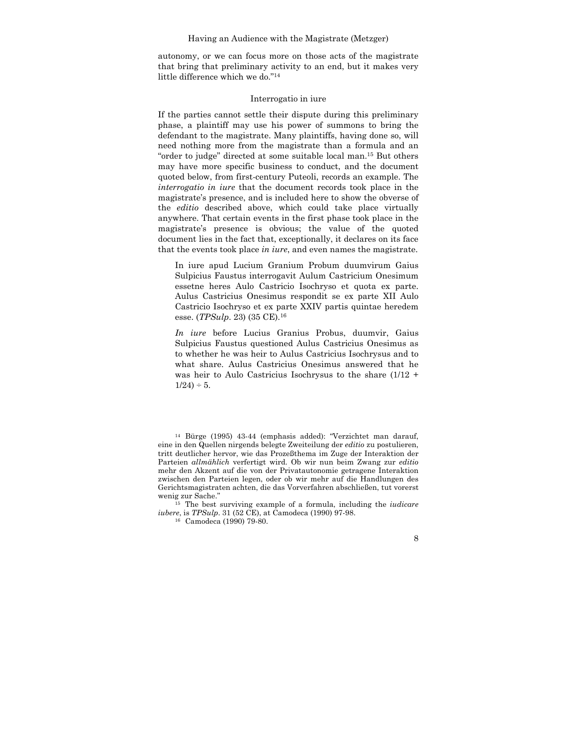autonomy, or we can focus more on those acts of the magistrate that bring that preliminary activity to an end, but it makes very little difference which we do."14

## Interrogatio in iure

If the parties cannot settle their dispute during this preliminary phase, a plaintiff may use his power of summons to bring the defendant to the magistrate. Many plaintiffs, having done so, will need nothing more from the magistrate than a formula and an "order to judge" directed at some suitable local man.15 But others may have more specific business to conduct, and the document quoted below, from first-century Puteoli, records an example. The *interrogatio in iure* that the document records took place in the magistrate's presence, and is included here to show the obverse of the *editio* described above, which could take place virtually anywhere. That certain events in the first phase took place in the magistrate's presence is obvious; the value of the quoted document lies in the fact that, exceptionally, it declares on its face that the events took place *in iure*, and even names the magistrate.

In iure apud Lucium Granium Probum duumvirum Gaius Sulpicius Faustus interrogavit Aulum Castricium Onesimum essetne heres Aulo Castricio Isochryso et quota ex parte. Aulus Castricius Onesimus respondit se ex parte XII Aulo Castricio Isochryso et ex parte XXIV partis quintae heredem esse. (*TPSulp*. 23) (35 CE).16

*In iure* before Lucius Granius Probus, duumvir, Gaius Sulpicius Faustus questioned Aulus Castricius Onesimus as to whether he was heir to Aulus Castricius Isochrysus and to what share. Aulus Castricius Onesimus answered that he was heir to Aulo Castricius Isochrysus to the share (1/12 +  $1/24$ ) ÷ 5.

14 Bürge (1995) 43-44 (emphasis added): "Verzichtet man darauf, eine in den Quellen nirgends belegte Zweiteilung der *editio* zu postulieren, tritt deutlicher hervor, wie das Prozeßthema im Zuge der Interaktion der Parteien *allmählich* verfertigt wird. Ob wir nun beim Zwang zur *editio*  mehr den Akzent auf die von der Privatautonomie getragene Interaktion zwischen den Parteien legen, oder ob wir mehr auf die Handlungen des Gerichtsmagistraten achten, die das Vorverfahren abschließen, tut vorerst

wenig zur Sache." 15 The best surviving example of a formula, including the *iudicare iubere*, is *TPSulp*. 31 (52 CE), at Camodeca (1990) 97-98. 16 Camodeca (1990) 79-80.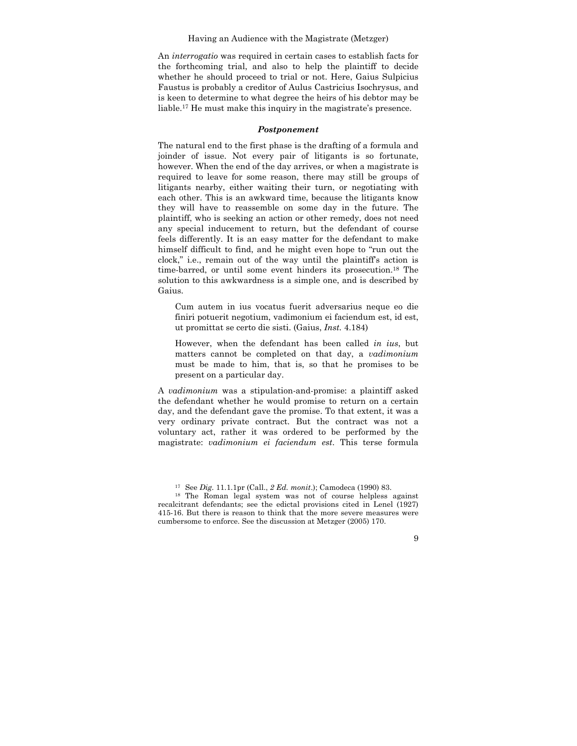An *interrogatio* was required in certain cases to establish facts for the forthcoming trial, and also to help the plaintiff to decide whether he should proceed to trial or not. Here, Gaius Sulpicius Faustus is probably a creditor of Aulus Castricius Isochrysus, and is keen to determine to what degree the heirs of his debtor may be liable.17 He must make this inquiry in the magistrate's presence.

## *Postponement*

The natural end to the first phase is the drafting of a formula and joinder of issue. Not every pair of litigants is so fortunate, however. When the end of the day arrives, or when a magistrate is required to leave for some reason, there may still be groups of litigants nearby, either waiting their turn, or negotiating with each other. This is an awkward time, because the litigants know they will have to reassemble on some day in the future. The plaintiff, who is seeking an action or other remedy, does not need any special inducement to return, but the defendant of course feels differently. It is an easy matter for the defendant to make himself difficult to find, and he might even hope to "run out the clock," i.e., remain out of the way until the plaintiff's action is time-barred, or until some event hinders its prosecution.18 The solution to this awkwardness is a simple one, and is described by Gaius.

Cum autem in ius vocatus fuerit adversarius neque eo die finiri potuerit negotium, vadimonium ei faciendum est, id est, ut promittat se certo die sisti. (Gaius, *Inst.* 4.184)

However, when the defendant has been called *in ius*, but matters cannot be completed on that day, a *vadimonium*  must be made to him, that is, so that he promises to be present on a particular day.

A *vadimonium* was a stipulation-and-promise: a plaintiff asked the defendant whether he would promise to return on a certain day, and the defendant gave the promise. To that extent, it was a very ordinary private contract. But the contract was not a voluntary act, rather it was ordered to be performed by the magistrate: *vadimonium ei faciendum est*. This terse formula

<sup>&</sup>lt;sup>17</sup> See *Dig.* 11.1.1pr (Call., 2 *Ed. monit.*); Camodeca (1990) 83.<br><sup>18</sup> The Roman legal system was not of course helpless against recalcitrant defendants; see the edictal provisions cited in Lenel (1927) 415-16. But there is reason to think that the more severe measures were cumbersome to enforce. See the discussion at Metzger (2005) 170.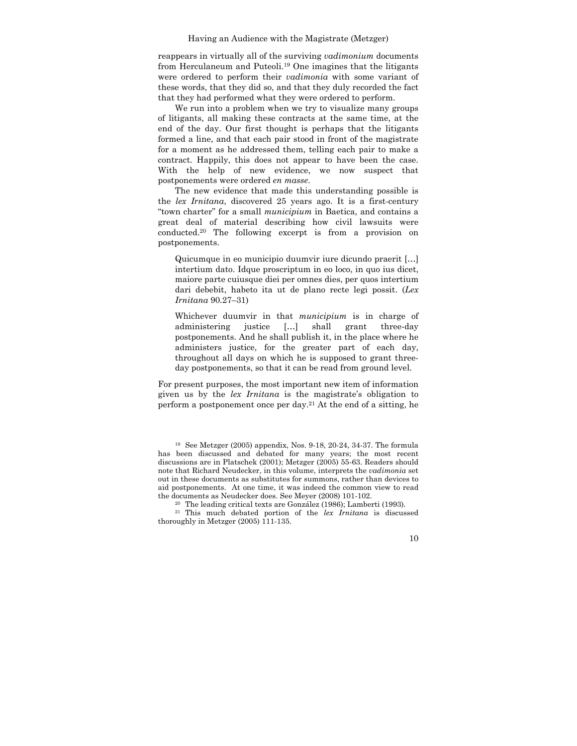reappears in virtually all of the surviving *vadimonium* documents from Herculaneum and Puteoli.19 One imagines that the litigants were ordered to perform their *vadimonia* with some variant of these words, that they did so, and that they duly recorded the fact that they had performed what they were ordered to perform.

We run into a problem when we try to visualize many groups of litigants, all making these contracts at the same time, at the end of the day. Our first thought is perhaps that the litigants formed a line, and that each pair stood in front of the magistrate for a moment as he addressed them, telling each pair to make a contract. Happily, this does not appear to have been the case. With the help of new evidence, we now suspect that postponements were ordered *en masse*.

The new evidence that made this understanding possible is the *lex Irnitana*, discovered 25 years ago. It is a first-century "town charter" for a small *municipium* in Baetica, and contains a great deal of material describing how civil lawsuits were conducted.20 The following excerpt is from a provision on postponements.

Quicumque in eo municipio duumvir iure dicundo praerit […] intertium dato. Idque proscriptum in eo loco, in quo ius dicet, maiore parte cuiusque diei per omnes dies, per quos intertium dari debebit, habeto ita ut de plano recte legi possit. (*Lex Irnitana* 90.27–31)

Whichever duumvir in that *municipium* is in charge of administering justice […] shall grant three-day postponements. And he shall publish it, in the place where he administers justice, for the greater part of each day, throughout all days on which he is supposed to grant threeday postponements, so that it can be read from ground level.

For present purposes, the most important new item of information given us by the *lex Irnitana* is the magistrate's obligation to perform a postponement once per day.21 At the end of a sitting, he

19 See Metzger (2005) appendix, Nos. 9-18, 20-24, 34-37. The formula has been discussed and debated for many years; the most recent discussions are in Platschek (2001); Metzger (2005) 55-63. Readers should note that Richard Neudecker, in this volume, interprets the *vadimonia* set out in these documents as substitutes for summons, rather than devices to aid postponements. At one time, it was indeed the common view to read the documents as Neudecker does. See Meyer (2008) 101-102. 20 The leading critical texts are González (1986); Lamberti (1993). 21 This much debated portion of the *lex Irnitana* is discussed

thoroughly in Metzger (2005) 111-135.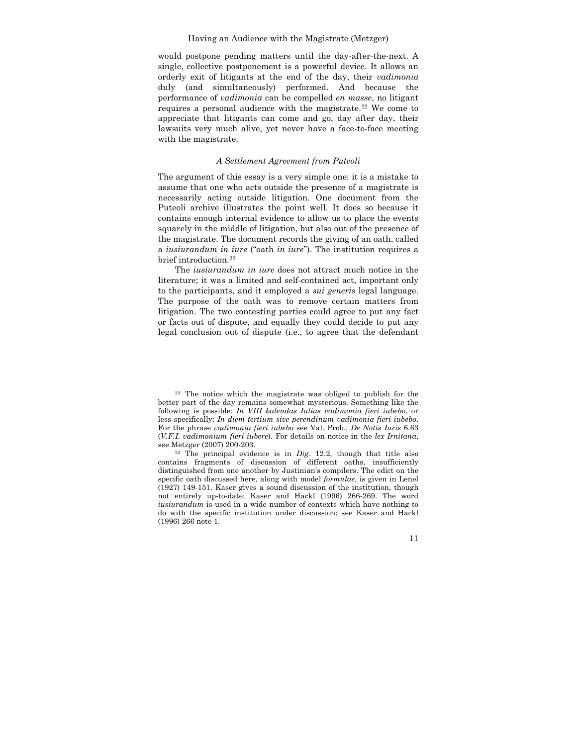would postpone pending matters until the day-after-the-next. A single, collective postponement is a powerful device. It allows an orderly exit of litigants at the end of the day, their *vadimonia*  duly (and simultaneously) performed. And because the performance of *vadimonia* can be compelled *en masse*, no litigant requires a personal audience with the magistrate.<sup>22</sup> We come to appreciate that litigants can come and go, day after day, their lawsuits very much alive, yet never have a face-to-face meeting with the magistrate.

#### *A Settlement Agreement from Puteoli*

The argument of this essay is a very simple one: it is a mistake to assume that one who acts outside the presence of a magistrate is necessarily acting outside litigation. One document from the Puteoli archive illustrates the point well. It does so because it contains enough internal evidence to allow us to place the events squarely in the middle of litigation, but also out of the presence of the magistrate. The document records the giving of an oath, called a *iusiurandum in iure* ("oath *in iure*"). The institution requires a brief introduction.23

The *iusiurandum in iure* does not attract much notice in the literature; it was a limited and self-contained act, important only to the participants, and it employed a *sui generis* legal language. The purpose of the oath was to remove certain matters from litigation. The two contesting parties could agree to put any fact or facts out of dispute, and equally they could decide to put any legal conclusion out of dispute (i.e., to agree that the defendant

22 The notice which the magistrate was obliged to publish for the better part of the day remains somewhat mysterious. Something like the following is possible: *In VIII kalendas Iulias vadimonia fieri iubebo*, or less specifically: *In diem tertium sive perendinum vadimonia fieri iubebo*. For the phrase *vadimonia fieri iubebo* see Val. Prob., *De Notis Iuris* 6.63 (*V.F.I. vadimonium fieri iubere*). For details on notice in the *lex Irnitana*,

see Metzger (2007) 200-203. 23 The principal evidence is in *Dig.* 12.2, though that title also contains fragments of discussion of different oaths, insufficiently distinguished from one another by Justinian's compilers. The edict on the specific oath discussed here, along with model *formulae*, is given in Lenel (1927) 149-151. Kaser gives a sound discussion of the institution, though not entirely up-to-date: Kaser and Hackl (1996) 266-269. The word *iusiurandum* is used in a wide number of contexts which have nothing to do with the specific institution under discussion; see Kaser and Hackl (1996) 266 note 1.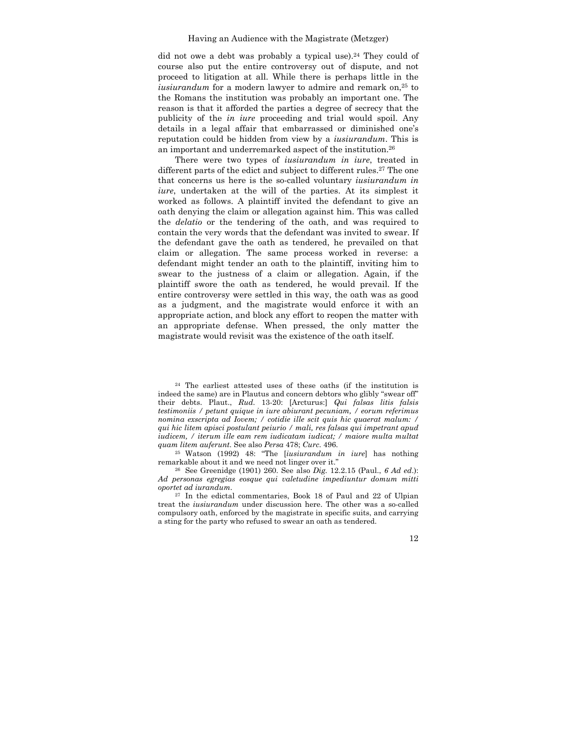did not owe a debt was probably a typical use).<sup>24</sup> They could of course also put the entire controversy out of dispute, and not proceed to litigation at all. While there is perhaps little in the *iusiurandum* for a modern lawyer to admire and remark on,<sup>25</sup> to the Romans the institution was probably an important one. The reason is that it afforded the parties a degree of secrecy that the publicity of the *in iure* proceeding and trial would spoil. Any details in a legal affair that embarrassed or diminished one's reputation could be hidden from view by a *iusiurandum*. This is an important and underremarked aspect of the institution.26

There were two types of *iusiurandum in iure*, treated in different parts of the edict and subject to different rules.27 The one that concerns us here is the so-called voluntary *iusiurandum in iure*, undertaken at the will of the parties. At its simplest it worked as follows. A plaintiff invited the defendant to give an oath denying the claim or allegation against him. This was called the *delatio* or the tendering of the oath, and was required to contain the very words that the defendant was invited to swear. If the defendant gave the oath as tendered, he prevailed on that claim or allegation. The same process worked in reverse: a defendant might tender an oath to the plaintiff, inviting him to swear to the justness of a claim or allegation. Again, if the plaintiff swore the oath as tendered, he would prevail. If the entire controversy were settled in this way, the oath was as good as a judgment, and the magistrate would enforce it with an appropriate action, and block any effort to reopen the matter with an appropriate defense. When pressed, the only matter the magistrate would revisit was the existence of the oath itself.

24 The earliest attested uses of these oaths (if the institution is indeed the same) are in Plautus and concern debtors who glibly "swear off" their debts. Plaut., *Rud*. 13-20: [Arcturus:] *Qui falsas litis falsis testimoniis / petunt quique in iure abiurant pecuniam, / eorum referimus nomina exscripta ad Iovem; / cotidie ille scit quis hic quaerat malum: / qui hic litem apisci postulant peiurio / mali, res falsas qui impetrant apud iudicem, / iterum ille eam rem iudicatam iudicat; / maiore multa multat quam litem auferunt.* See also *Persa* 478; *Curc*. 496. 25 Watson (1992) 48: "The [*iusiurandum in iure*] has nothing

remarkable about it and we need not linger over it." 26 See Greenidge (1901) 260. See also *Dig.* 12.2.15 (Paul., *<sup>6</sup> Ad ed*.):

*Ad personas egregias eosque qui valetudine impediuntur domum mitti oportet ad iurandum*. 27 In the edictal commentaries, Book 18 of Paul and 22 of Ulpian

treat the *iusiurandum* under discussion here. The other was a so-called compulsory oath, enforced by the magistrate in specific suits, and carrying a sting for the party who refused to swear an oath as tendered.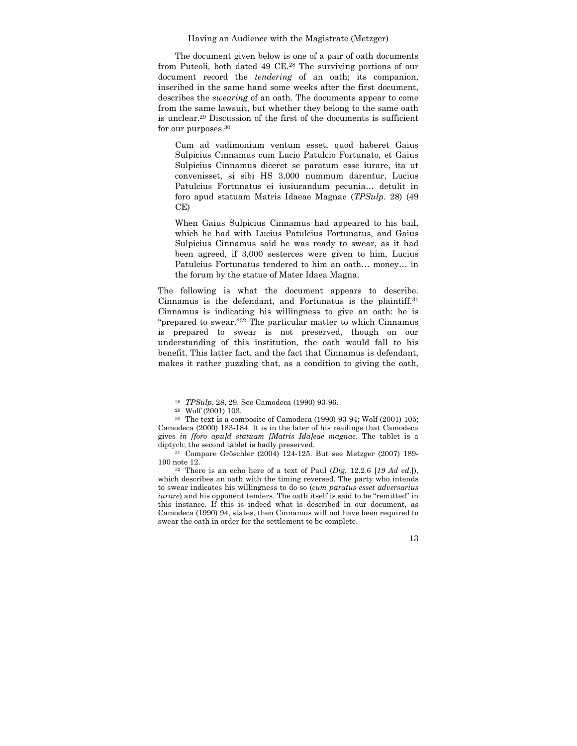The document given below is one of a pair of oath documents from Puteoli, both dated 49 CE.28 The surviving portions of our document record the *tendering* of an oath; its companion, inscribed in the same hand some weeks after the first document, describes the *swearing* of an oath. The documents appear to come from the same lawsuit, but whether they belong to the same oath is unclear.29 Discussion of the first of the documents is sufficient for our purposes.<sup>30</sup>

Cum ad vadimonium ventum esset, quod haberet Gaius Sulpicius Cinnamus cum Lucio Patulcio Fortunato, et Gaius Sulpicius Cinnamus diceret se paratum esse iurare, ita ut convenisset, si sibi HS 3,000 nummum darentur, Lucius Patulcius Fortunatus ei iusiurandum pecunia… detulit in foro apud statuam Matris Idaeae Magnae (*TPSulp*. 28) (49 CE)

When Gaius Sulpicius Cinnamus had appeared to his bail, which he had with Lucius Patulcius Fortunatus, and Gaius Sulpicius Cinnamus said he was ready to swear, as it had been agreed, if 3,000 sesterces were given to him, Lucius Patulcius Fortunatus tendered to him an oath… money… in the forum by the statue of Mater Idaea Magna.

The following is what the document appears to describe. Cinnamus is the defendant, and Fortunatus is the plaintiff.31 Cinnamus is indicating his willingness to give an oath: he is "prepared to swear."32 The particular matter to which Cinnamus is prepared to swear is not preserved, though on our understanding of this institution, the oath would fall to his benefit. This latter fact, and the fact that Cinnamus is defendant, makes it rather puzzling that, as a condition to giving the oath,

which describes an oath with the timing reversed. The party who intends to swear indicates his willingness to do so (*cum paratus esset adversarius iurare*) and his opponent tenders. The oath itself is said to be "remitted" in this instance. If this is indeed what is described in our document, as Camodeca (1990) 94, states, then Cinnamus will not have been required to swear the oath in order for the settlement to be complete.

<sup>28</sup> *TPSulp*. 28, 29. See Camodeca (1990) 93-96. 29 Wolf (2001) 103.

<sup>30</sup> The text is a composite of Camodeca (1990) 93-94; Wolf (2001) 105; Camodeca (2000) 183-184. It is in the later of his readings that Camodeca gives *in [foro apu]d statuam [Matris Ida]eae magnae*. The tablet is a diptych; the second tablet is badly preserved.<br><sup>31</sup> Compare Gröschler (2004) 124-125. But see Metzger (2007) 189-

<sup>190</sup> note 12. 32 There is an echo here of a text of Paul (*Dig.* 12.2.6 [*<sup>19</sup> Ad ed*.]),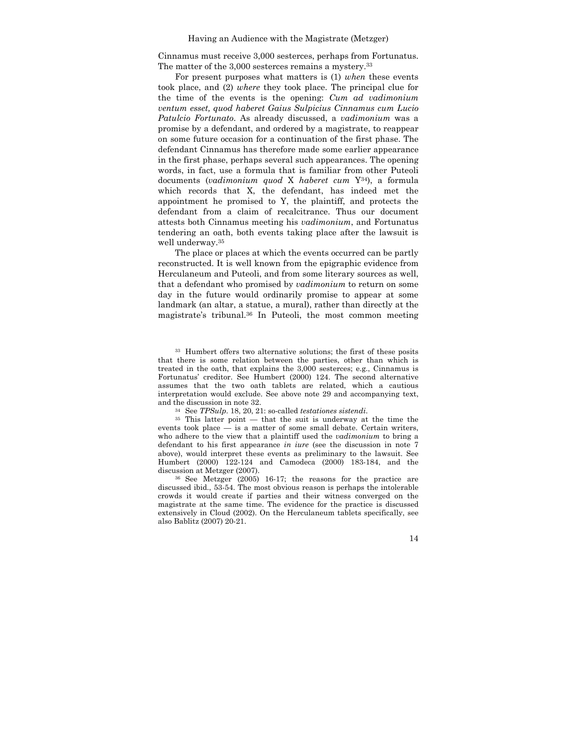Cinnamus must receive 3,000 sesterces, perhaps from Fortunatus. The matter of the 3,000 sesterces remains a mystery.<sup>33</sup>

For present purposes what matters is (1) *when* these events took place, and (2) *where* they took place. The principal clue for the time of the events is the opening: *Cum ad vadimonium ventum esset, quod haberet Gaius Sulpicius Cinnamus cum Lucio Patulcio Fortunato*. As already discussed, a *vadimonium* was a promise by a defendant, and ordered by a magistrate, to reappear on some future occasion for a continuation of the first phase. The defendant Cinnamus has therefore made some earlier appearance in the first phase, perhaps several such appearances. The opening words, in fact, use a formula that is familiar from other Puteoli documents (*vadimonium quod* X *haberet cum* Y34), a formula which records that X, the defendant, has indeed met the appointment he promised to Y, the plaintiff, and protects the defendant from a claim of recalcitrance. Thus our document attests both Cinnamus meeting his *vadimonium*, and Fortunatus tendering an oath, both events taking place after the lawsuit is well underway.35

The place or places at which the events occurred can be partly reconstructed. It is well known from the epigraphic evidence from Herculaneum and Puteoli, and from some literary sources as well, that a defendant who promised by *vadimonium* to return on some day in the future would ordinarily promise to appear at some landmark (an altar, a statue, a mural), rather than directly at the magistrate's tribunal.36 In Puteoli, the most common meeting

33 Humbert offers two alternative solutions; the first of these posits that there is some relation between the parties, other than which is treated in the oath, that explains the 3,000 sesterces; e.g., Cinnamus is Fortunatus' creditor. See Humbert (2000) 124. The second alternative assumes that the two oath tablets are related, which a cautious interpretation would exclude. See above note 29 and accompanying text,

and the discussion in note 32.<br><sup>34</sup> See *TPSulp*. 18, 20, 21: so-called *testationes sistendi*.<br><sup>35</sup> This latter point — that the suit is underway at the time the events took place  $-$  is a matter of some small debate. Certain writers, who adhere to the view that a plaintiff used the *vadimonium* to bring a defendant to his first appearance *in iure* (see the discussion in note 7 above), would interpret these events as preliminary to the lawsuit. See Humbert (2000) 122-124 and Camodeca (2000) 183-184, and the discussion at Metzger (2007).<br><sup>36</sup> See Metzger (2005) 16-17; the reasons for the practice are

discussed ibid., 53-54. The most obvious reason is perhaps the intolerable crowds it would create if parties and their witness converged on the magistrate at the same time. The evidence for the practice is discussed extensively in Cloud (2002). On the Herculaneum tablets specifically, see also Bablitz (2007) 20-21.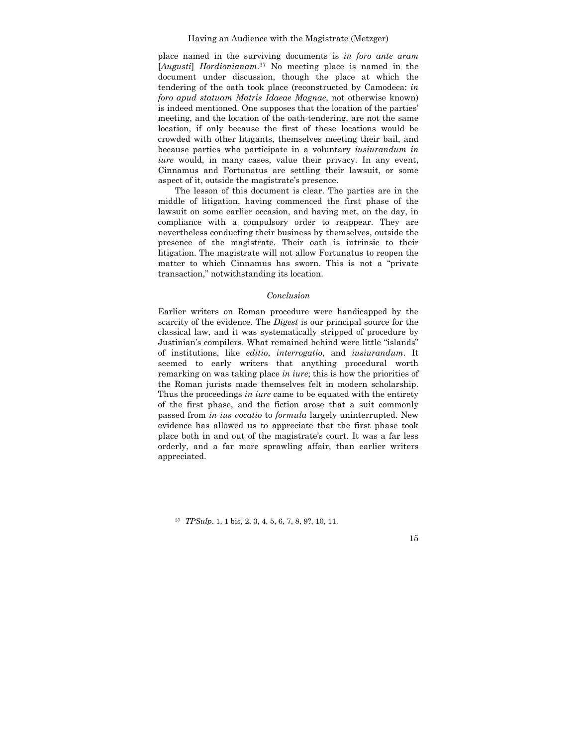place named in the surviving documents is *in foro ante aram*  [*Augusti*] *Hordionianam*. 37 No meeting place is named in the document under discussion, though the place at which the tendering of the oath took place (reconstructed by Camodeca: *in foro apud statuam Matris Idaeae Magnae*, not otherwise known) is indeed mentioned. One supposes that the location of the parties' meeting, and the location of the oath-tendering, are not the same location, if only because the first of these locations would be crowded with other litigants, themselves meeting their bail, and because parties who participate in a voluntary *iusiurandum in iure* would, in many cases, value their privacy. In any event, Cinnamus and Fortunatus are settling their lawsuit, or some aspect of it, outside the magistrate's presence.

The lesson of this document is clear. The parties are in the middle of litigation, having commenced the first phase of the lawsuit on some earlier occasion, and having met, on the day, in compliance with a compulsory order to reappear. They are nevertheless conducting their business by themselves, outside the presence of the magistrate. Their oath is intrinsic to their litigation. The magistrate will not allow Fortunatus to reopen the matter to which Cinnamus has sworn. This is not a "private transaction," notwithstanding its location.

# *Conclusion*

Earlier writers on Roman procedure were handicapped by the scarcity of the evidence. The *Digest* is our principal source for the classical law, and it was systematically stripped of procedure by Justinian's compilers. What remained behind were little "islands" of institutions, like *editio*, *interrogatio*, and *iusiurandum*. It seemed to early writers that anything procedural worth remarking on was taking place *in iure*; this is how the priorities of the Roman jurists made themselves felt in modern scholarship. Thus the proceedings *in iure* came to be equated with the entirety of the first phase, and the fiction arose that a suit commonly passed from *in ius vocatio* to *formula* largely uninterrupted. New evidence has allowed us to appreciate that the first phase took place both in and out of the magistrate's court. It was a far less orderly, and a far more sprawling affair, than earlier writers appreciated.

<sup>37</sup> *TPSulp*. 1, 1 bis, 2, 3, 4, 5, 6, 7, 8, 9?, 10, 11.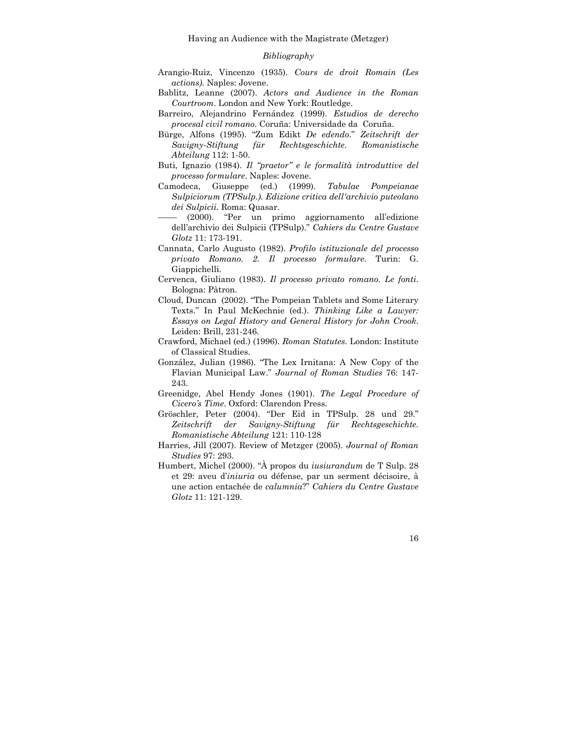### *Bibliography*

- Arangio-Ruiz, Vincenzo (1935). *Cours de droit Romain (Les actions)*. Naples: Jovene.
- Bablitz, Leanne (2007). *Actors and Audience in the Roman Courtroom*. London and New York: Routledge.
- Barreiro, Alejandrino Fernández (1999). *Estudios de derecho procesal civil romano*. Coruña: Universidade da Coruña.
- Bürge, Alfons (1995). "Zum Edikt *De edendo*." *Zeitschrift der Savigny-Stiftung für Rechtsgeschichte. Romanistische Abteilung* 112: 1-50.
- Buti, Ignazio (1984). *Il "praetor" e le formalità introduttive del processo formulare*. Naples: Jovene.
- Camodeca, Giuseppe (ed.) (1999). *Tabulae Pompeianae Sulpiciorum (TPSulp.). Edizione critica dell'archivio puteolano dei Sulpicii*. Roma: Quasar.
- $(2000)$ . "Per un primo aggiornamento all'edizione dell'archivio dei Sulpicii (TPSulp)." *Cahiers du Centre Gustave Glotz* 11: 173-191.
- Cannata, Carlo Augusto (1982). *Profilo istituzionale del processo privato Romano. 2. Il processo formulare*. Turin: G. Giappichelli.
- Cervenca, Giuliano (1983). *Il processo privato romano. Le fonti*. Bologna: Pàtron.
- Cloud, Duncan (2002). "The Pompeian Tablets and Some Literary Texts." In Paul McKechnie (ed.). *Thinking Like a Lawyer: Essays on Legal History and General History for John Crook*. Leiden: Brill, 231-246.
- Crawford, Michael (ed.) (1996). *Roman Statutes.* London: Institute of Classical Studies.
- González, Julian (1986). "The Lex Irnitana: A New Copy of the Flavian Municipal Law." *Journal of Roman Studies* 76: 147- 243.
- Greenidge, Abel Hendy Jones (1901). *The Legal Procedure of Cicero's Time*. Oxford: Clarendon Press.
- Gröschler, Peter (2004). "Der Eid in TPSulp. 28 und 29." *Zeitschrift der Savigny-Stiftung für Rechtsgeschichte. Romanistische Abteilung* 121: 110-128
- Harries, Jill (2007). Review of Metzger (2005). *Journal of Roman Studies* 97: 293.
- Humbert, Michel (2000). "À propos du *iusiurandum* de T Sulp. 28 et 29: aveu d'*iniuria* ou défense, par un serment décisoire, à une action entachée de *calumnia*?" *Cahiers du Centre Gustave Glotz* 11: 121-129.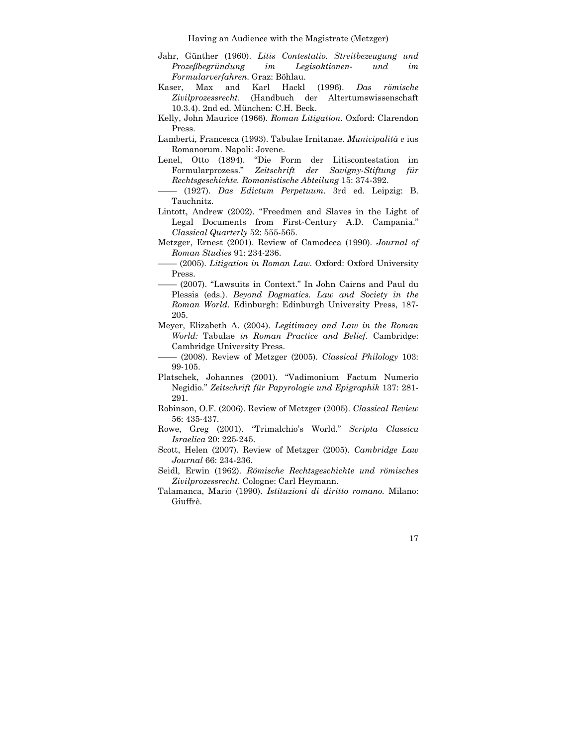- Jahr, Günther (1960). *Litis Contestatio. Streitbezeugung und Prozeßbegründung im Legisaktionen- und im Formularverfahren*. Graz: Böhlau.
- Kaser, Max and Karl Hackl (1996). *Das römische Zivilprozessrecht*. (Handbuch der Altertumswissenschaft 10.3.4). 2nd ed. München: C.H. Beck.
- Kelly, John Maurice (1966). *Roman Litigation*. Oxford: Clarendon Press.
- Lamberti, Francesca (1993). Tabulae Irnitanae*. Municipalità e* ius Romanorum. Napoli: Jovene.
- Lenel, Otto (1894). "Die Form der Litiscontestation im Formularprozess." *Zeitschrift der Savigny-Stiftung für Rechtsgeschichte. Romanistische Abteilung* 15: 374-392.
- –––– (1927). *Das Edictum Perpetuum*. 3rd ed. Leipzig: B. Tauchnitz.
- Lintott, Andrew (2002). "Freedmen and Slaves in the Light of Legal Documents from First-Century A.D. Campania." *Classical Quarterly* 52: 555-565.
- Metzger, Ernest (2001). Review of Camodeca (1990). *Journal of Roman Studies* 91: 234-236.
- –––– (2005). *Litigation in Roman Law.* Oxford: Oxford University Press.
	- –––– (2007). "Lawsuits in Context." In John Cairns and Paul du Plessis (eds.). *Beyond Dogmatics. Law and Society in the Roman World*. Edinburgh: Edinburgh University Press, 187- 205.
- Meyer, Elizabeth A. (2004). *Legitimacy and Law in the Roman World:* Tabulae *in Roman Practice and Belief*. Cambridge: Cambridge University Press.
- –––– (2008). Review of Metzger (2005). *Classical Philology* 103: 99-105.
- Platschek, Johannes (2001). "Vadimonium Factum Numerio Negidio." *Zeitschrift für Papyrologie und Epigraphik* 137: 281- 291.
- Robinson, O.F. (2006). Review of Metzger (2005). *Classical Review*  56: 435-437.
- Rowe, Greg (2001). "Trimalchio's World." *Scripta Classica Israelica* 20: 225-245.
- Scott, Helen (2007). Review of Metzger (2005). *Cambridge Law Journal* 66: 234-236.
- Seidl, Erwin (1962). *Römische Rechtsgeschichte und römisches Zivilprozessrecht*. Cologne: Carl Heymann.
- Talamanca, Mario (1990). *Istituzioni di diritto romano.* Milano: Giuffrè.